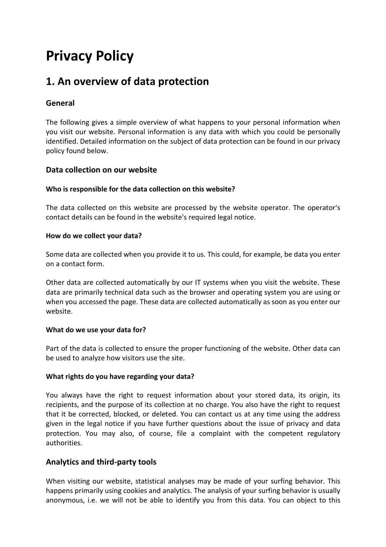# **Privacy Policy**

# **1. An overview of data protection**

# **General**

The following gives a simple overview of what happens to your personal information when you visit our website. Personal information is any data with which you could be personally identified. Detailed information on the subject of data protection can be found in our privacy policy found below.

### **Data collection on our website**

#### **Who is responsible for the data collection on this website?**

The data collected on this website are processed by the website operator. The operator's contact details can be found in the website's required legal notice.

#### **How do we collect your data?**

Some data are collected when you provide it to us. This could, for example, be data you enter on a contact form.

Other data are collected automatically by our IT systems when you visit the website. These data are primarily technical data such as the browser and operating system you are using or when you accessed the page. These data are collected automatically as soon as you enter our website.

#### **What do we use your data for?**

Part of the data is collected to ensure the proper functioning of the website. Other data can be used to analyze how visitors use the site.

#### **What rights do you have regarding your data?**

You always have the right to request information about your stored data, its origin, its recipients, and the purpose of its collection at no charge. You also have the right to request that it be corrected, blocked, or deleted. You can contact us at any time using the address given in the legal notice if you have further questions about the issue of privacy and data protection. You may also, of course, file a complaint with the competent regulatory authorities.

### **Analytics and third-party tools**

When visiting our website, statistical analyses may be made of your surfing behavior. This happens primarily using cookies and analytics. The analysis of your surfing behavior is usually anonymous, i.e. we will not be able to identify you from this data. You can object to this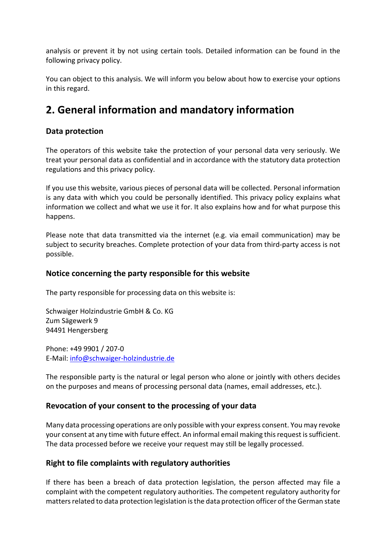analysis or prevent it by not using certain tools. Detailed information can be found in the following privacy policy.

You can object to this analysis. We will inform you below about how to exercise your options in this regard.

# **2. General information and mandatory information**

### **Data protection**

The operators of this website take the protection of your personal data very seriously. We treat your personal data as confidential and in accordance with the statutory data protection regulations and this privacy policy.

If you use this website, various pieces of personal data will be collected. Personal information is any data with which you could be personally identified. This privacy policy explains what information we collect and what we use it for. It also explains how and for what purpose this happens.

Please note that data transmitted via the internet (e.g. via email communication) may be subject to security breaches. Complete protection of your data from third-party access is not possible.

### **Notice concerning the party responsible for this website**

The party responsible for processing data on this website is:

Schwaiger Holzindustrie GmbH & Co. KG Zum Sägewerk 9 94491 Hengersberg

Phone: +49 9901 / 207-0 E-Mail: info@schwaiger-holzindustrie.de

The responsible party is the natural or legal person who alone or jointly with others decides on the purposes and means of processing personal data (names, email addresses, etc.).

### **Revocation of your consent to the processing of your data**

Many data processing operations are only possible with your express consent. You may revoke your consent at any time with future effect. An informal email making this request is sufficient. The data processed before we receive your request may still be legally processed.

### **Right to file complaints with regulatory authorities**

If there has been a breach of data protection legislation, the person affected may file a complaint with the competent regulatory authorities. The competent regulatory authority for matters related to data protection legislation is the data protection officer of the German state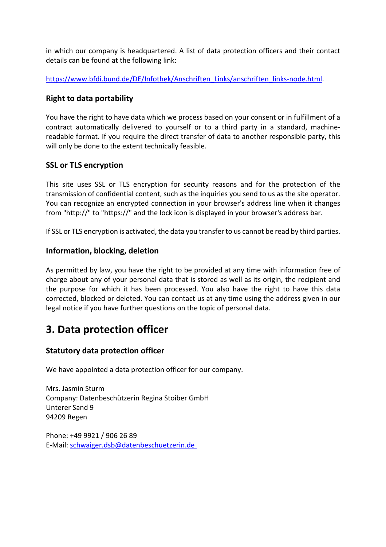in which our company is headquartered. A list of data protection officers and their contact details can be found at the following link:

https://www.bfdi.bund.de/DE/Infothek/Anschriften\_Links/anschriften\_links-node.html.

### **Right to data portability**

You have the right to have data which we process based on your consent or in fulfillment of a contract automatically delivered to yourself or to a third party in a standard, machinereadable format. If you require the direct transfer of data to another responsible party, this will only be done to the extent technically feasible.

### **SSL or TLS encryption**

This site uses SSL or TLS encryption for security reasons and for the protection of the transmission of confidential content, such as the inquiries you send to us as the site operator. You can recognize an encrypted connection in your browser's address line when it changes from "http://" to "https://" and the lock icon is displayed in your browser's address bar.

If SSL or TLS encryption is activated, the data you transfer to us cannot be read by third parties.

## **Information, blocking, deletion**

As permitted by law, you have the right to be provided at any time with information free of charge about any of your personal data that is stored as well as its origin, the recipient and the purpose for which it has been processed. You also have the right to have this data corrected, blocked or deleted. You can contact us at any time using the address given in our legal notice if you have further questions on the topic of personal data.

# **3. Data protection officer**

# **Statutory data protection officer**

We have appointed a data protection officer for our company.

Mrs. Jasmin Sturm Company: Datenbeschützerin Regina Stoiber GmbH Unterer Sand 9 94209 Regen

Phone: +49 9921 / 906 26 89 E-Mail: schwaiger.dsb@datenbeschuetzerin.de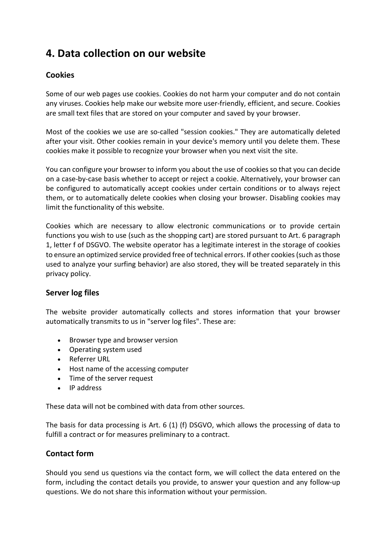# **4. Data collection on our website**

# **Cookies**

Some of our web pages use cookies. Cookies do not harm your computer and do not contain any viruses. Cookies help make our website more user-friendly, efficient, and secure. Cookies are small text files that are stored on your computer and saved by your browser.

Most of the cookies we use are so-called "session cookies." They are automatically deleted after your visit. Other cookies remain in your device's memory until you delete them. These cookies make it possible to recognize your browser when you next visit the site.

You can configure your browser to inform you about the use of cookies so that you can decide on a case-by-case basis whether to accept or reject a cookie. Alternatively, your browser can be configured to automatically accept cookies under certain conditions or to always reject them, or to automatically delete cookies when closing your browser. Disabling cookies may limit the functionality of this website.

Cookies which are necessary to allow electronic communications or to provide certain functions you wish to use (such as the shopping cart) are stored pursuant to Art. 6 paragraph 1, letter f of DSGVO. The website operator has a legitimate interest in the storage of cookies to ensure an optimized service provided free of technical errors. If other cookies (such as those used to analyze your surfing behavior) are also stored, they will be treated separately in this privacy policy.

### **Server log files**

The website provider automatically collects and stores information that your browser automatically transmits to us in "server log files". These are:

- Browser type and browser version
- Operating system used
- Referrer URL
- Host name of the accessing computer
- Time of the server request
- IP address

These data will not be combined with data from other sources.

The basis for data processing is Art. 6 (1) (f) DSGVO, which allows the processing of data to fulfill a contract or for measures preliminary to a contract.

### **Contact form**

Should you send us questions via the contact form, we will collect the data entered on the form, including the contact details you provide, to answer your question and any follow-up questions. We do not share this information without your permission.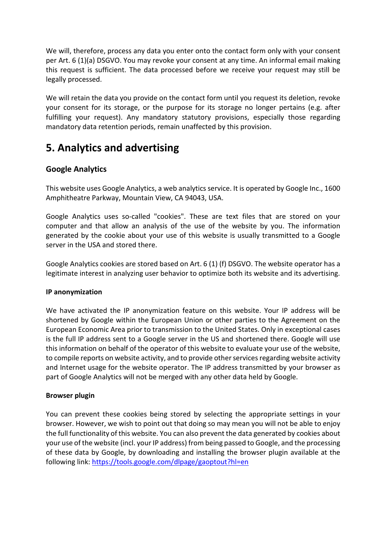We will, therefore, process any data you enter onto the contact form only with your consent per Art. 6 (1)(a) DSGVO. You may revoke your consent at any time. An informal email making this request is sufficient. The data processed before we receive your request may still be legally processed.

We will retain the data you provide on the contact form until you request its deletion, revoke your consent for its storage, or the purpose for its storage no longer pertains (e.g. after fulfilling your request). Any mandatory statutory provisions, especially those regarding mandatory data retention periods, remain unaffected by this provision.

# **5. Analytics and advertising**

## **Google Analytics**

This website uses Google Analytics, a web analytics service. It is operated by Google Inc., 1600 Amphitheatre Parkway, Mountain View, CA 94043, USA.

Google Analytics uses so-called "cookies". These are text files that are stored on your computer and that allow an analysis of the use of the website by you. The information generated by the cookie about your use of this website is usually transmitted to a Google server in the USA and stored there.

Google Analytics cookies are stored based on Art. 6 (1) (f) DSGVO. The website operator has a legitimate interest in analyzing user behavior to optimize both its website and its advertising.

### **IP anonymization**

We have activated the IP anonymization feature on this website. Your IP address will be shortened by Google within the European Union or other parties to the Agreement on the European Economic Area prior to transmission to the United States. Only in exceptional cases is the full IP address sent to a Google server in the US and shortened there. Google will use this information on behalf of the operator of this website to evaluate your use of the website, to compile reports on website activity, and to provide other services regarding website activity and Internet usage for the website operator. The IP address transmitted by your browser as part of Google Analytics will not be merged with any other data held by Google.

### **Browser plugin**

You can prevent these cookies being stored by selecting the appropriate settings in your browser. However, we wish to point out that doing so may mean you will not be able to enjoy the full functionality of this website. You can also prevent the data generated by cookies about your use of the website (incl. your IP address) from being passed to Google, and the processing of these data by Google, by downloading and installing the browser plugin available at the following link: https://tools.google.com/dlpage/gaoptout?hl=en